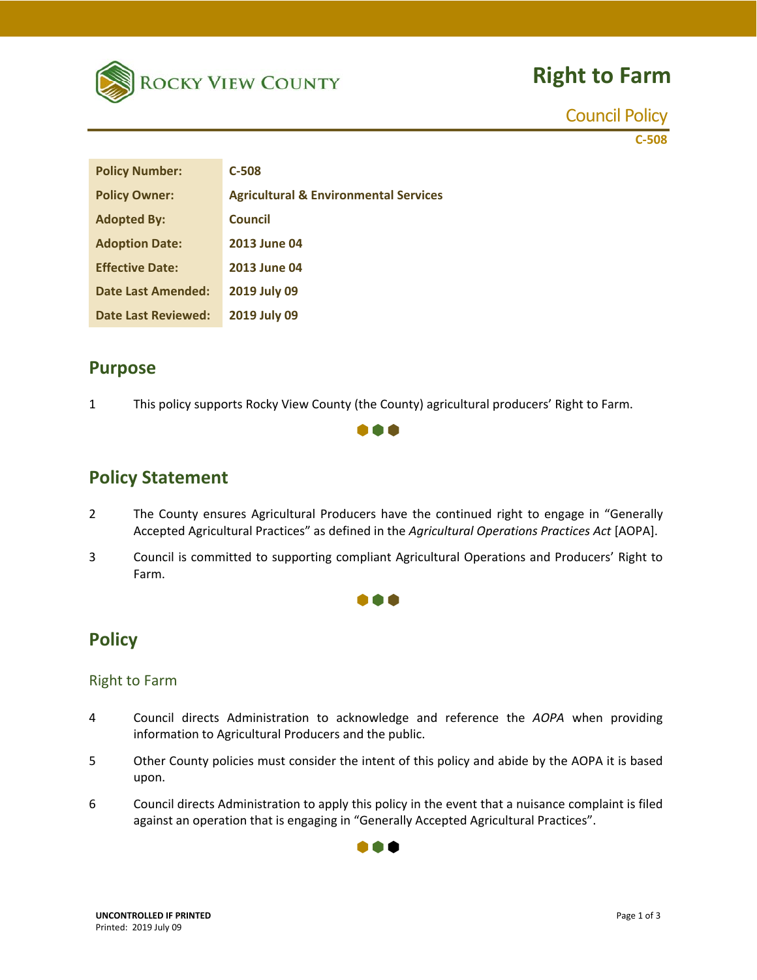

# **Right to Farm**

Council Policy

**C‐508**

| <b>Policy Number:</b>      | $C-508$                                          |
|----------------------------|--------------------------------------------------|
| <b>Policy Owner:</b>       | <b>Agricultural &amp; Environmental Services</b> |
| <b>Adopted By:</b>         | Council                                          |
| <b>Adoption Date:</b>      | <b>2013 June 04</b>                              |
| <b>Effective Date:</b>     | <b>2013 June 04</b>                              |
| Date Last Amended:         | 2019 July 09                                     |
| <b>Date Last Reviewed:</b> | 2019 July 09                                     |

#### **Purpose**

1 This policy supports Rocky View County (the County) agricultural producers' Right to Farm.

### **Policy Statement**

2 The County ensures Agricultural Producers have the continued right to engage in "Generally Accepted Agricultural Practices" as defined in the *Agricultural Operations Practices Act* [AOPA].

m

3 Council is committed to supporting compliant Agricultural Operations and Producers' Right to Farm.

#### 000

### **Policy**

#### Right to Farm

- 4 Council directs Administration to acknowledge and reference the *AOPA* when providing information to Agricultural Producers and the public.
- 5 Other County policies must consider the intent of this policy and abide by the AOPA it is based upon.
- 6 Council directs Administration to apply this policy in the event that a nuisance complaint is filed against an operation that is engaging in "Generally Accepted Agricultural Practices".

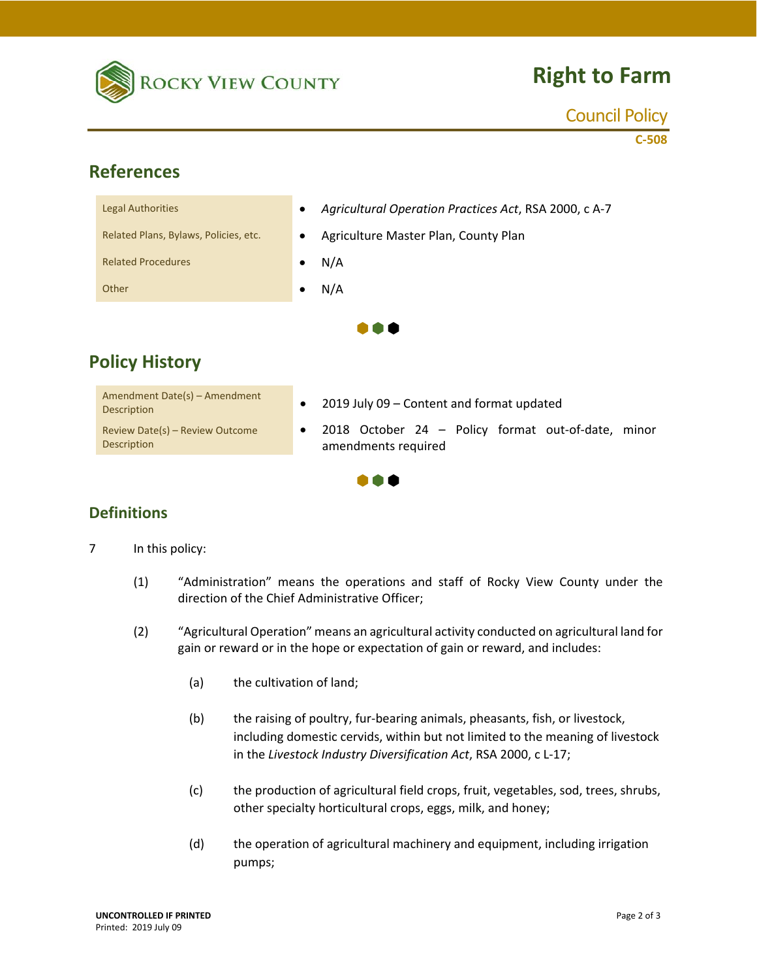

# **Right to Farm**

#### Council Policy

**C‐508**

## **References**

| <b>Legal Authorities</b>              | Agricultural Operation Practices Act, RSA 2000, c A-7<br>$\bullet$ |  |
|---------------------------------------|--------------------------------------------------------------------|--|
| Related Plans, Bylaws, Policies, etc. | Agriculture Master Plan, County Plan<br>$\bullet$                  |  |
| <b>Related Procedures</b>             | N/A<br>٠                                                           |  |
| Other                                 | N/A                                                                |  |
|                                       |                                                                    |  |

## **Policy History**

| Amendment Date(s) - Amendment<br><b>Description</b> |
|-----------------------------------------------------|
| Review Date(s) - Review Outcome<br>Description      |

- $\bullet$  2019 July 09 Content and format updated
- 2018 October 24 – Policy format out-of-date, minor amendments required



### **Definitions**

7 In this policy:

- (1) "Administration" means the operations and staff of Rocky View County under the direction of the Chief Administrative Officer;
- (2) "Agricultural Operation" means an agricultural activity conducted on agricultural land for gain or reward or in the hope or expectation of gain or reward, and includes:
	- (a) the cultivation of land;
	- (b) the raising of poultry, fur‐bearing animals, pheasants, fish, or livestock, including domestic cervids, within but not limited to the meaning of livestock in the *Livestock Industry Diversification Act*, RSA 2000, c L‐17;
	- (c) the production of agricultural field crops, fruit, vegetables, sod, trees, shrubs, other specialty horticultural crops, eggs, milk, and honey;
	- (d) the operation of agricultural machinery and equipment, including irrigation pumps;